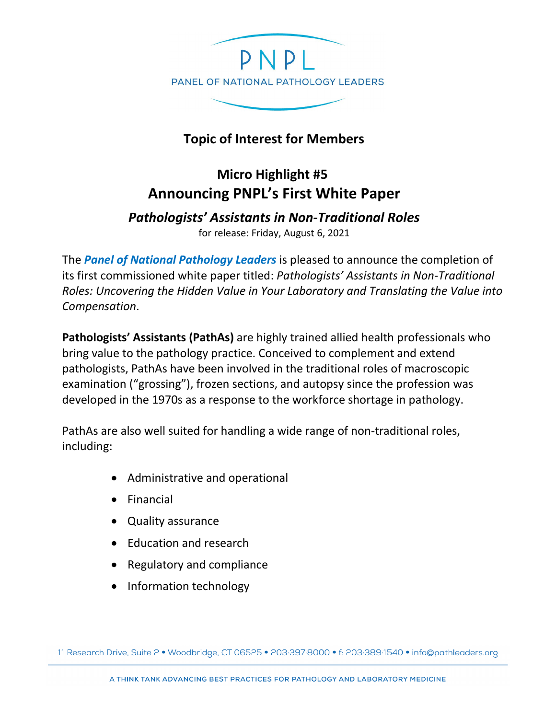

## **Topic of Interest for Members**

## **Micro Highlight #5 Announcing PNPL's First White Paper**

## *Pathologists' Assistants in Non-Traditional Roles*

for release: Friday, August 6, 2021

The *Panel of National Pathology Leaders* is pleased to announce the completion of its first commissioned white paper titled: *Pathologists' Assistants in Non-Traditional Roles: Uncovering the Hidden Value in Your Laboratory and Translating the Value into Compensation*.

**Pathologists' Assistants (PathAs)** are highly trained allied health professionals who bring value to the pathology practice. Conceived to complement and extend pathologists, PathAs have been involved in the traditional roles of macroscopic examination ("grossing"), frozen sections, and autopsy since the profession was developed in the 1970s as a response to the workforce shortage in pathology.

PathAs are also well suited for handling a wide range of non-traditional roles, including:

- Administrative and operational
- Financial
- Quality assurance
- Education and research
- Regulatory and compliance
- Information technology

11 Research Drive, Suite 2 · Woodbridge, CT 06525 · 203:397:8000 · f: 203:389:1540 · info@pathleaders.org